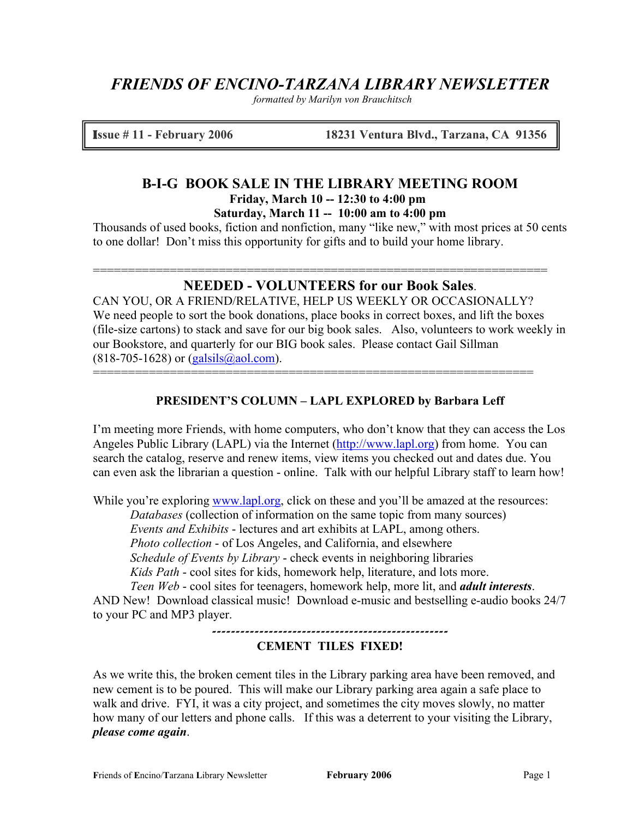# *FRIENDS OF ENCINO-TARZANA LIBRARY NEWSLETTER*

*formatted by Marilyn von Brauchitsch*

I**ssue # 11 - February 2006 18231 Ventura Blvd., Tarzana, CA 91356**

# **B-I-G BOOK SALE IN THE LIBRARY MEETING ROOM Friday, March 10 -- 12:30 to 4:00 pm**

**Saturday, March 11 -- 10:00 am to 4:00 pm**

Thousands of used books, fiction and nonfiction, many "like new," with most prices at 50 cents to one dollar! Don't miss this opportunity for gifts and to build your home library.

## **NEEDED - VOLUNTEERS for our Book Sales**.

=================================================================

CAN YOU, OR A FRIEND/RELATIVE, HELP US WEEKLY OR OCCASIONALLY? We need people to sort the book donations, place books in correct boxes, and lift the boxes (file-size cartons) to stack and save for our big book sales. Also, volunteers to work weekly in our Bookstore, and quarterly for our BIG book sales. Please contact Gail Sillman  $(818-705-1628)$  or  $(galsils@aol.com)$ .

### **PRESIDENT'S COLUMN – LAPL EXPLORED by Barbara Leff**

===============================================================

I'm meeting more Friends, with home computers, who don't know that they can access the Los Angeles Public Library (LAPL) via the Internet [\(http://www.lapl.org\)](http://www.lapl.org/) from home. You can search the catalog, reserve and renew items, view items you checked out and dates due. You can even ask the librarian a question - online. Talk with our helpful Library staff to learn how!

While you're exploring [www.lapl.org,](http://www.lapl.org/) click on these and you'll be amazed at the resources: *Databases* (collection of information on the same topic from many sources) *Events and Exhibits* - lectures and art exhibits at LAPL, among others. *Photo collection* - of Los Angeles, and California, and elsewhere *Schedule of Events by Library* - check events in neighboring libraries *Kids Path* - cool sites for kids, homework help, literature, and lots more.

*Teen Web* - cool sites for teenagers, homework help, more lit, and *adult interests*.

AND New! Download classical music! Download e-music and bestselling e-audio books 24/7 to your PC and MP3 player.

### **--------------------------------------------------**

### **CEMENT TILES FIXED!**

As we write this, the broken cement tiles in the Library parking area have been removed, and new cement is to be poured. This will make our Library parking area again a safe place to walk and drive. FYI, it was a city project, and sometimes the city moves slowly, no matter how many of our letters and phone calls. If this was a deterrent to your visiting the Library, *please come again*.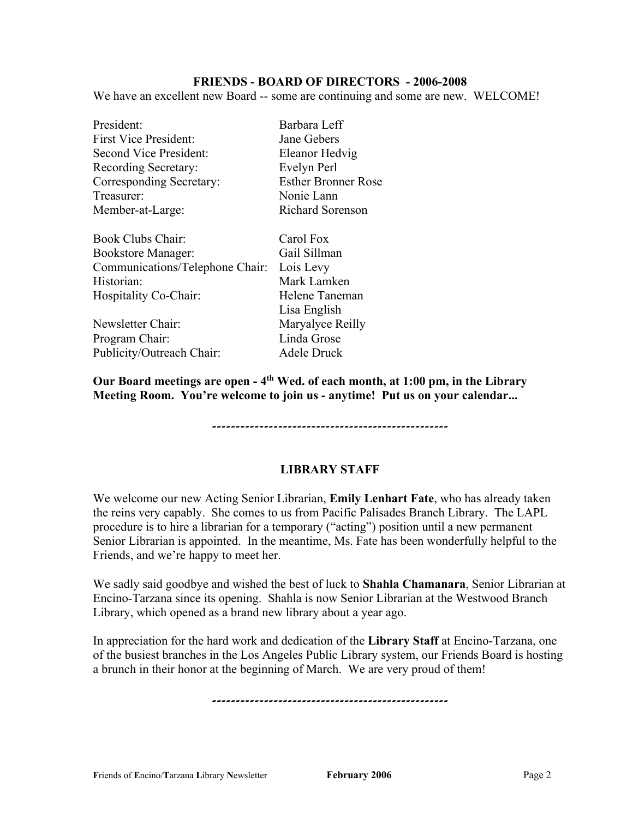#### **FRIENDS - BOARD OF DIRECTORS - 2006-2008**

We have an excellent new Board -- some are continuing and some are new. WELCOME!

| President:                      | Barbara Leff               |
|---------------------------------|----------------------------|
| <b>First Vice President:</b>    | Jane Gebers                |
| <b>Second Vice President:</b>   | Eleanor Hedvig             |
| Recording Secretary:            | Evelyn Perl                |
| Corresponding Secretary:        | <b>Esther Bronner Rose</b> |
| Treasurer:                      | Nonie Lann                 |
| Member-at-Large:                | <b>Richard Sorenson</b>    |
| Book Clubs Chair:               | Carol Fox                  |
| <b>Bookstore Manager:</b>       | Gail Sillman               |
| Communications/Telephone Chair: | Lois Levy                  |
| Historian:                      | Mark Lamken                |
| Hospitality Co-Chair:           | Helene Taneman             |
|                                 | Lisa English               |
| Newsletter Chair:               | Maryalyce Reilly           |
| Program Chair:                  | Linda Grose                |
| Publicity/Outreach Chair:       | Adele Druck                |

**Our Board meetings are open - 4th Wed. of each month, at 1:00 pm, in the Library Meeting Room. You're welcome to join us - anytime! Put us on your calendar...**

**--------------------------------------------------**

#### **LIBRARY STAFF**

We welcome our new Acting Senior Librarian, **Emily Lenhart Fate**, who has already taken the reins very capably. She comes to us from Pacific Palisades Branch Library. The LAPL procedure is to hire a librarian for a temporary ("acting") position until a new permanent Senior Librarian is appointed. In the meantime, Ms. Fate has been wonderfully helpful to the Friends, and we're happy to meet her.

We sadly said goodbye and wished the best of luck to **Shahla Chamanara**, Senior Librarian at Encino-Tarzana since its opening. Shahla is now Senior Librarian at the Westwood Branch Library, which opened as a brand new library about a year ago.

In appreciation for the hard work and dedication of the **Library Staff** at Encino-Tarzana, one of the busiest branches in the Los Angeles Public Library system, our Friends Board is hosting a brunch in their honor at the beginning of March. We are very proud of them!

**--------------------------------------------------**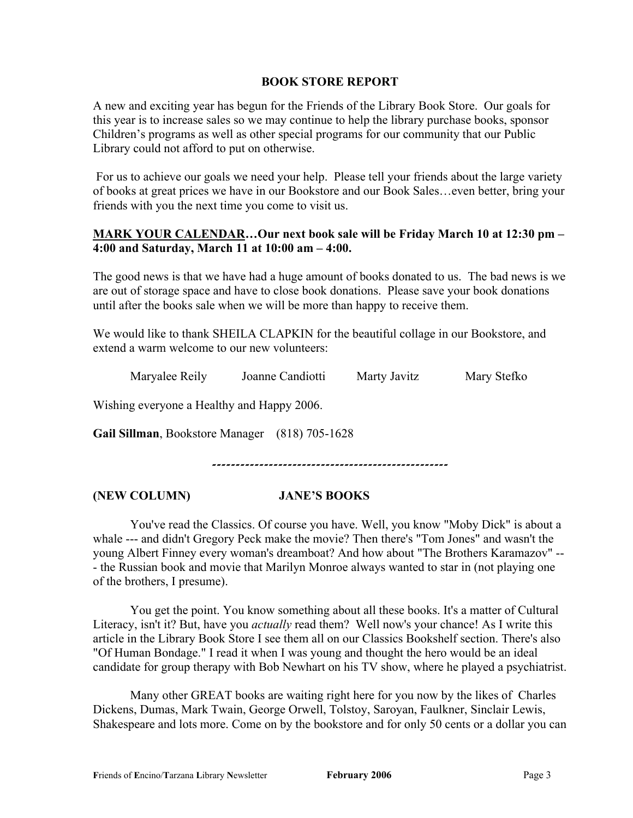#### **BOOK STORE REPORT**

A new and exciting year has begun for the Friends of the Library Book Store. Our goals for this year is to increase sales so we may continue to help the library purchase books, sponsor Children's programs as well as other special programs for our community that our Public Library could not afford to put on otherwise.

For us to achieve our goals we need your help. Please tell your friends about the large variety of books at great prices we have in our Bookstore and our Book Sales…even better, bring your friends with you the next time you come to visit us.

### **MARK YOUR CALENDAR…Our next book sale will be Friday March 10 at 12:30 pm – 4:00 and Saturday, March 11 at 10:00 am – 4:00.**

The good news is that we have had a huge amount of books donated to us. The bad news is we are out of storage space and have to close book donations. Please save your book donations until after the books sale when we will be more than happy to receive them.

We would like to thank SHEILA CLAPKIN for the beautiful collage in our Bookstore, and extend a warm welcome to our new volunteers:

Maryalee Reily Joanne Candiotti Marty Javitz Mary Stefko

Wishing everyone a Healthy and Happy 2006.

**Gail Sillman**, Bookstore Manager (818) 705-1628

**--------------------------------------------------**

#### **(NEW COLUMN) JANE'S BOOKS**

You've read the Classics. Of course you have. Well, you know "Moby Dick" is about a whale --- and didn't Gregory Peck make the movie? Then there's "Tom Jones" and wasn't the young Albert Finney every woman's dreamboat? And how about "The Brothers Karamazov" -- - the Russian book and movie that Marilyn Monroe always wanted to star in (not playing one of the brothers, I presume).

You get the point. You know something about all these books. It's a matter of Cultural Literacy, isn't it? But, have you *actually* read them? Well now's your chance! As I write this article in the Library Book Store I see them all on our Classics Bookshelf section. There's also "Of Human Bondage." I read it when I was young and thought the hero would be an ideal candidate for group therapy with Bob Newhart on his TV show, where he played a psychiatrist.

Many other GREAT books are waiting right here for you now by the likes of Charles Dickens, Dumas, Mark Twain, George Orwell, Tolstoy, Saroyan, Faulkner, Sinclair Lewis, Shakespeare and lots more. Come on by the bookstore and for only 50 cents or a dollar you can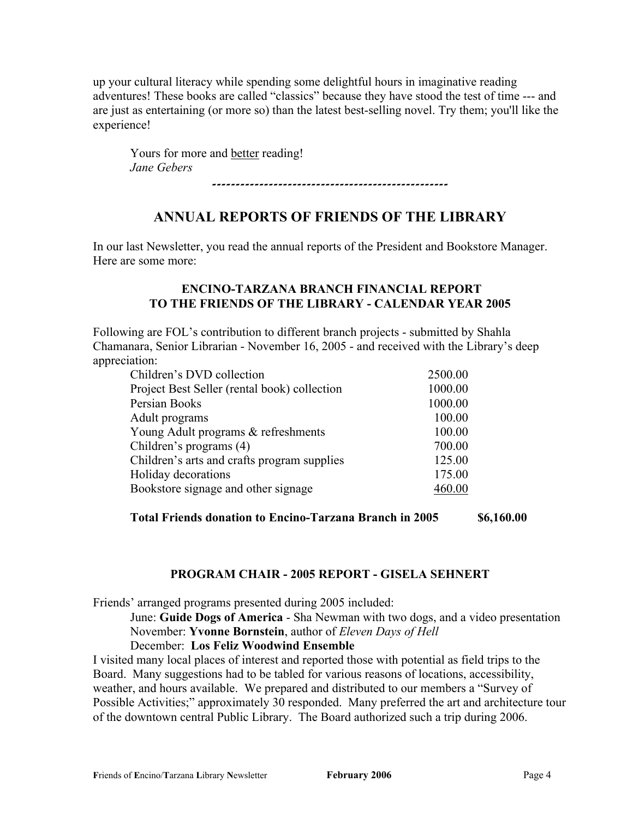up your cultural literacy while spending some delightful hours in imaginative reading adventures! These books are called "classics" because they have stood the test of time --- and are just as entertaining (or more so) than the latest best-selling novel. Try them; you'll like the experience!

Yours for more and better reading! *Jane Gebers*

# **--------------------------------------------------**

## **ANNUAL REPORTS OF FRIENDS OF THE LIBRARY**

In our last Newsletter, you read the annual reports of the President and Bookstore Manager. Here are some more:

### **ENCINO-TARZANA BRANCH FINANCIAL REPORT TO THE FRIENDS OF THE LIBRARY - CALENDAR YEAR 2005**

Following are FOL's contribution to different branch projects - submitted by Shahla Chamanara, Senior Librarian - November 16, 2005 - and received with the Library's deep appreciation:

| Children's DVD collection                    | 2500.00 |
|----------------------------------------------|---------|
| Project Best Seller (rental book) collection | 1000.00 |
| Persian Books                                | 1000.00 |
| Adult programs                               | 100.00  |
| Young Adult programs & refreshments          | 100.00  |
| Children's programs (4)                      | 700.00  |
| Children's arts and crafts program supplies  | 125.00  |
| Holiday decorations                          | 175.00  |
| Bookstore signage and other signage          | 460.00  |

**Total Friends donation to Encino-Tarzana Branch in 2005 \$6,160.00**

### **PROGRAM CHAIR - 2005 REPORT - GISELA SEHNERT**

Friends' arranged programs presented during 2005 included:

June: **Guide Dogs of America** - Sha Newman with two dogs, and a video presentation November: **Yvonne Bornstein**, author of *Eleven Days of Hell*

December: **Los Feliz Woodwind Ensemble**

I visited many local places of interest and reported those with potential as field trips to the Board. Many suggestions had to be tabled for various reasons of locations, accessibility, weather, and hours available. We prepared and distributed to our members a "Survey of Possible Activities;" approximately 30 responded. Many preferred the art and architecture tour of the downtown central Public Library. The Board authorized such a trip during 2006.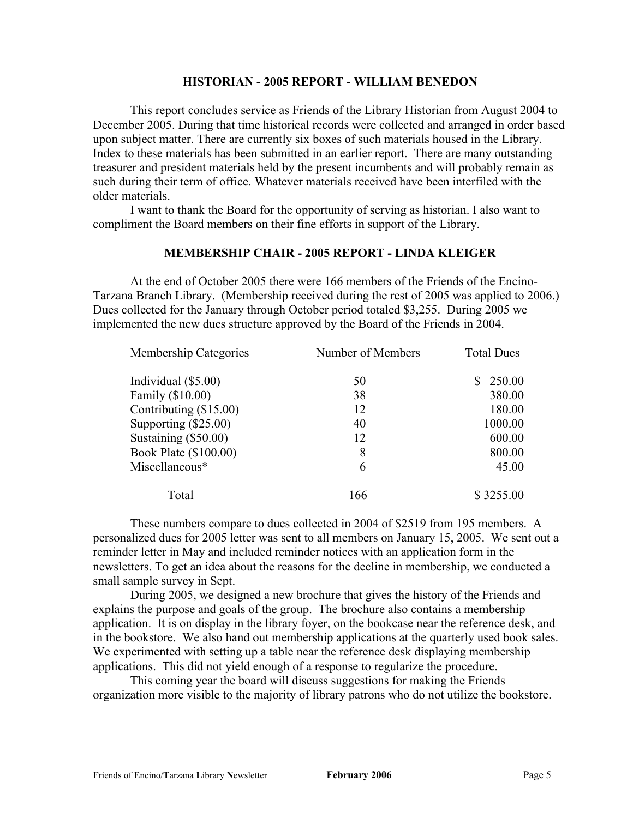#### **HISTORIAN - 2005 REPORT - WILLIAM BENEDON**

This report concludes service as Friends of the Library Historian from August 2004 to December 2005. During that time historical records were collected and arranged in order based upon subject matter. There are currently six boxes of such materials housed in the Library. Index to these materials has been submitted in an earlier report. There are many outstanding treasurer and president materials held by the present incumbents and will probably remain as such during their term of office. Whatever materials received have been interfiled with the older materials.

I want to thank the Board for the opportunity of serving as historian. I also want to compliment the Board members on their fine efforts in support of the Library.

#### **MEMBERSHIP CHAIR - 2005 REPORT - LINDA KLEIGER**

At the end of October 2005 there were 166 members of the Friends of the Encino-Tarzana Branch Library. (Membership received during the rest of 2005 was applied to 2006.) Dues collected for the January through October period totaled \$3,255. During 2005 we implemented the new dues structure approved by the Board of the Friends in 2004.

| Membership Categories  | Number of Members | <b>Total Dues</b> |  |
|------------------------|-------------------|-------------------|--|
| Individual $(\$5.00)$  | 50                | \$250.00          |  |
| Family (\$10.00)       | 38                | 380.00            |  |
| Contributing (\$15.00) | 12                | 180.00            |  |
| Supporting $(\$25.00)$ | 40                | 1000.00           |  |
| Sustaining (\$50.00)   | 12                | 600.00            |  |
| Book Plate (\$100.00)  | 8                 | 800.00            |  |
| Miscellaneous*         | 6                 | 45.00             |  |
| Total                  | 166               | \$3255.00         |  |

These numbers compare to dues collected in 2004 of \$2519 from 195 members. A personalized dues for 2005 letter was sent to all members on January 15, 2005. We sent out a reminder letter in May and included reminder notices with an application form in the newsletters. To get an idea about the reasons for the decline in membership, we conducted a small sample survey in Sept.

During 2005, we designed a new brochure that gives the history of the Friends and explains the purpose and goals of the group. The brochure also contains a membership application. It is on display in the library foyer, on the bookcase near the reference desk, and in the bookstore. We also hand out membership applications at the quarterly used book sales. We experimented with setting up a table near the reference desk displaying membership applications. This did not yield enough of a response to regularize the procedure.

This coming year the board will discuss suggestions for making the Friends organization more visible to the majority of library patrons who do not utilize the bookstore.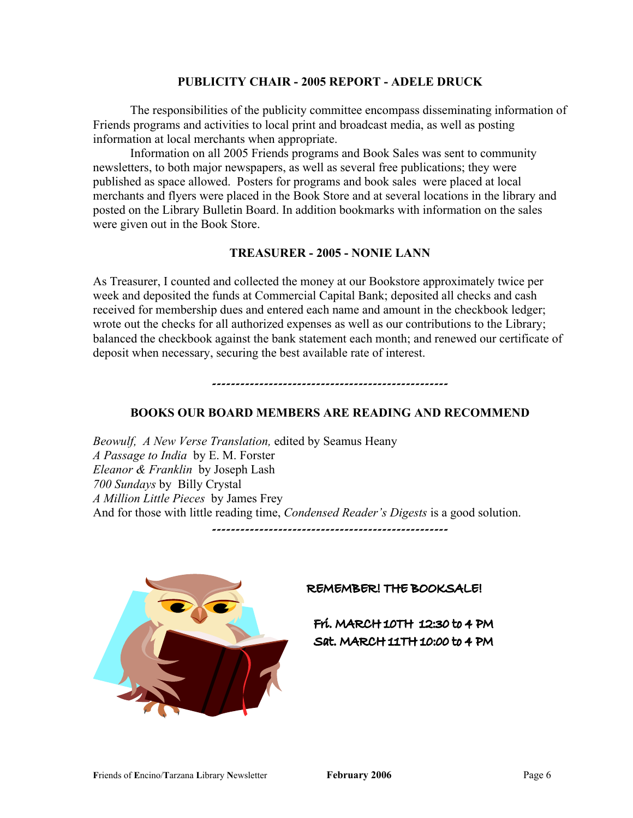#### **PUBLICITY CHAIR - 2005 REPORT - ADELE DRUCK**

The responsibilities of the publicity committee encompass disseminating information of Friends programs and activities to local print and broadcast media, as well as posting information at local merchants when appropriate.

Information on all 2005 Friends programs and Book Sales was sent to community newsletters, to both major newspapers, as well as several free publications; they were published as space allowed. Posters for programs and book sales were placed at local merchants and flyers were placed in the Book Store and at several locations in the library and posted on the Library Bulletin Board. In addition bookmarks with information on the sales were given out in the Book Store.

#### **TREASURER - 2005 - NONIE LANN**

As Treasurer, I counted and collected the money at our Bookstore approximately twice per week and deposited the funds at Commercial Capital Bank; deposited all checks and cash received for membership dues and entered each name and amount in the checkbook ledger; wrote out the checks for all authorized expenses as well as our contributions to the Library; balanced the checkbook against the bank statement each month; and renewed our certificate of deposit when necessary, securing the best available rate of interest.

### **BOOKS OUR BOARD MEMBERS ARE READING AND RECOMMEND**

**--------------------------------------------------**

*Beowulf, A New Verse Translation,* edited by Seamus Heany *A Passage to India* by E. M. Forster *Eleanor & Franklin* by Joseph Lash *700 Sundays* by Billy Crystal *A Million Little Pieces* by James Frey And for those with little reading time, *Condensed Reader's Digests* is a good solution.

**--------------------------------------------------**



#### REMEMBER! THE BOOKSALE!

Frí. MARCH 10TH 12:30 to 4 PM Sat. MARCH 11TH 10:00 to 4 PM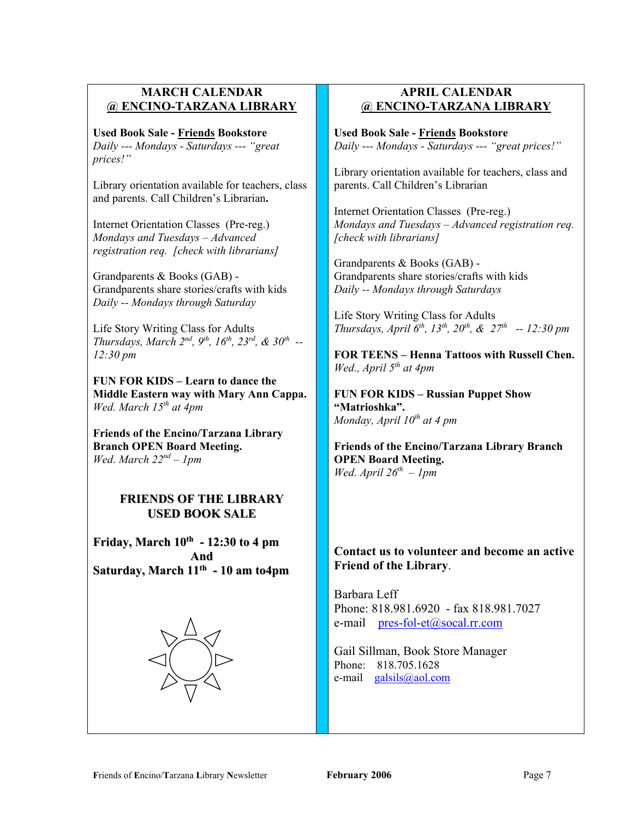### **MARCH CALENDAR @ ENCINO-TARZANA LIBRARY**

**Used Book Sale - Friends Bookstore**  *Daily --- Mondays - Saturdays --- "great prices!"*

Library orientation available for teachers, class and parents. Call Children's Librarian**.**

Internet Orientation Classes (Pre-reg.) *Mondays and Tuesdays – Advanced registration req. [check with librarians]*

Grandparents & Books (GAB) - Grandparents share stories/crafts with kids *Daily -- Mondays through Saturday*

Life Story Writing Class for Adults *Thursdays, March 2nd, 9th, 16th, 23rd, & 30th -- 12:30 pm*

**FUN FOR KIDS – Learn to dance the Middle Eastern way with Mary Ann Cappa.** *Wed. March 15th at 4pm*

**Friends of the Encino/Tarzana Library Branch OPEN Board Meeting.** *Wed. March 22nd – 1pm*

### **FRIENDS OF THE LIBRARY USED BOOK SALE**

**Friday, March 10th - 12:30 to 4 pm And Saturday, March 11th - 10 am to4pm**



### **APRIL CALENDAR @ ENCINO-TARZANA LIBRARY**

**Used Book Sale - Friends Bookstore**  *Daily --- Mondays - Saturdays --- "great prices!"*

Library orientation available for teachers, class and parents. Call Children's Librarian

Internet Orientation Classes (Pre-reg.) *Mondays and Tuesdays – Advanced registration req. [check with librarians]*

Grandparents & Books (GAB) - Grandparents share stories/crafts with kids *Daily -- Mondays through Saturdays*

Life Story Writing Class for Adults *Thursdays, April 6th, 13th, 20th, & 27th -- 12:30 pm*

**FOR TEENS – Henna Tattoos with Russell Chen.** *Wed., April 5th at 4pm*

**FUN FOR KIDS – Russian Puppet Show "Matrioshka".** *Monday, April 10th at 4 pm*

**Friends of the Encino/Tarzana Library Branch OPEN Board Meeting.** *Wed. April 26th – 1pm*

### **Contact us to volunteer and become an active Friend of the Library**.

Barbara Leff Phone: 818.981.6920 - fax 818.981.7027 e-mail [pres-fol-et@socal.rr.com](mailto:pres-fol-et@socal.rr.com)

Gail Sillman, Book Store Manager Phone: 818.705.1628 e-mail [galsils@aol.com](mailto:galsils@aol.com)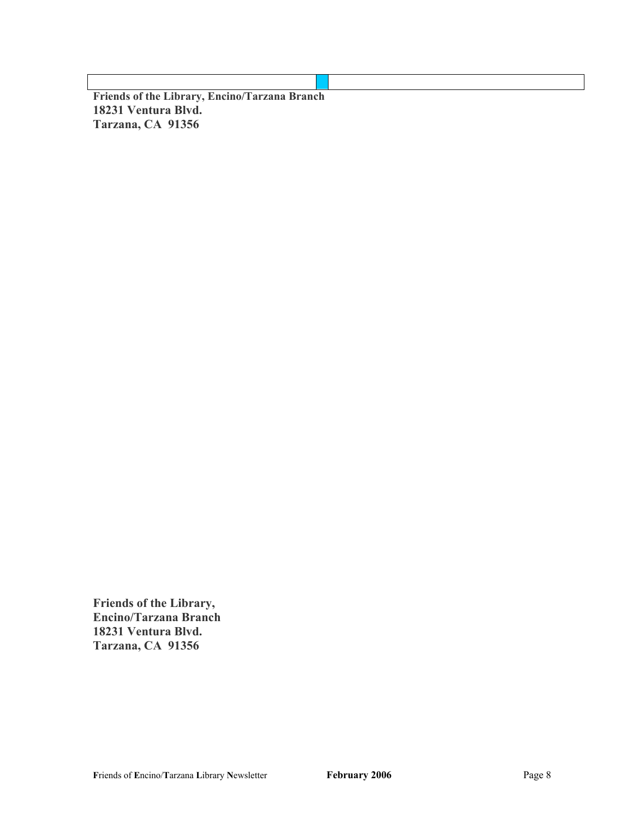**Friends of the Library, Encino/Tarzana Branch 18231 Ventura Blvd. Tarzana, CA 91356**

**Friends of the Library, Encino/Tarzana Branch 18231 Ventura Blvd. Tarzana, CA 91356**